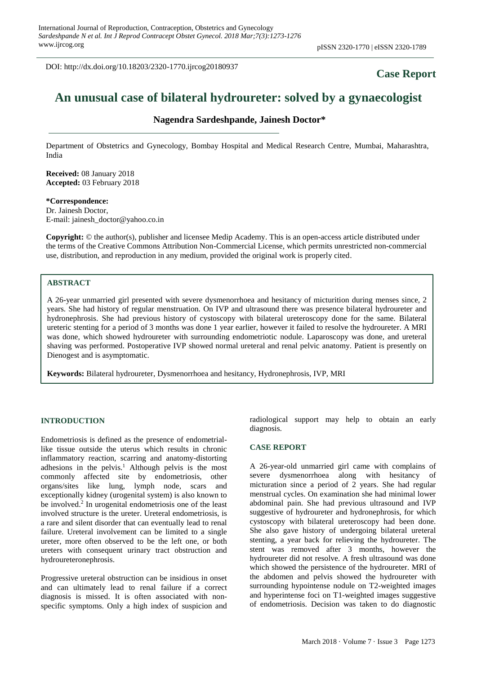DOI: http://dx.doi.org/10.18203/2320-1770.ijrcog20180937

## **Case Report**

# **An unusual case of bilateral hydroureter: solved by a gynaecologist**

## **Nagendra Sardeshpande, Jainesh Doctor\***

Department of Obstetrics and Gynecology, Bombay Hospital and Medical Research Centre, Mumbai, Maharashtra, India

**Received:** 08 January 2018 **Accepted:** 03 February 2018

**\*Correspondence:** Dr. Jainesh Doctor, E-mail: jainesh\_doctor@yahoo.co.in

**Copyright:** © the author(s), publisher and licensee Medip Academy. This is an open-access article distributed under the terms of the Creative Commons Attribution Non-Commercial License, which permits unrestricted non-commercial use, distribution, and reproduction in any medium, provided the original work is properly cited.

### **ABSTRACT**

A 26-year unmarried girl presented with severe dysmenorrhoea and hesitancy of micturition during menses since, 2 years. She had history of regular menstruation. On IVP and ultrasound there was presence bilateral hydroureter and hydronephrosis. She had previous history of cystoscopy with bilateral ureteroscopy done for the same. Bilateral ureteric stenting for a period of 3 months was done 1 year earlier, however it failed to resolve the hydroureter. A MRI was done, which showed hydroureter with surrounding endometriotic nodule. Laparoscopy was done, and ureteral shaving was performed. Postoperative IVP showed normal ureteral and renal pelvic anatomy. Patient is presently on Dienogest and is asymptomatic.

**Keywords:** Bilateral hydroureter, Dysmenorrhoea and hesitancy, Hydronephrosis, IVP, MRI

## **INTRODUCTION**

Endometriosis is defined as the presence of endometriallike tissue outside the uterus which results in chronic inflammatory reaction, scarring and anatomy-distorting adhesions in the pelvis.<sup>1</sup> Although pelvis is the most commonly affected site by endometriosis, other organs/sites like lung, lymph node, scars and exceptionally kidney (urogenital system) is also known to be involved.<sup>2</sup> In urogenital endometriosis one of the least involved structure is the ureter. Ureteral endometriosis, is a rare and silent disorder that can eventually lead to renal failure. Ureteral involvement can be limited to a single ureter, more often observed to be the left one, or both ureters with consequent urinary tract obstruction and hydroureteronephrosis.

Progressive ureteral obstruction can be insidious in onset and can ultimately lead to renal failure if a correct diagnosis is missed. It is often associated with nonspecific symptoms. Only a high index of suspicion and radiological support may help to obtain an early diagnosis.

#### **CASE REPORT**

A 26-year-old unmarried girl came with complains of severe dysmenorrhoea along with hesitancy of micturation since a period of 2 years. She had regular menstrual cycles. On examination she had minimal lower abdominal pain. She had previous ultrasound and IVP suggestive of hydroureter and hydronephrosis, for which cystoscopy with bilateral ureteroscopy had been done. She also gave history of undergoing bilateral ureteral stenting, a year back for relieving the hydroureter. The stent was removed after 3 months, however the hydroureter did not resolve. A fresh ultrasound was done which showed the persistence of the hydroureter. MRI of the abdomen and pelvis showed the hydroureter with surrounding hypointense nodule on T2-weighted images and hyperintense foci on T1-weighted images suggestive of endometriosis. Decision was taken to do diagnostic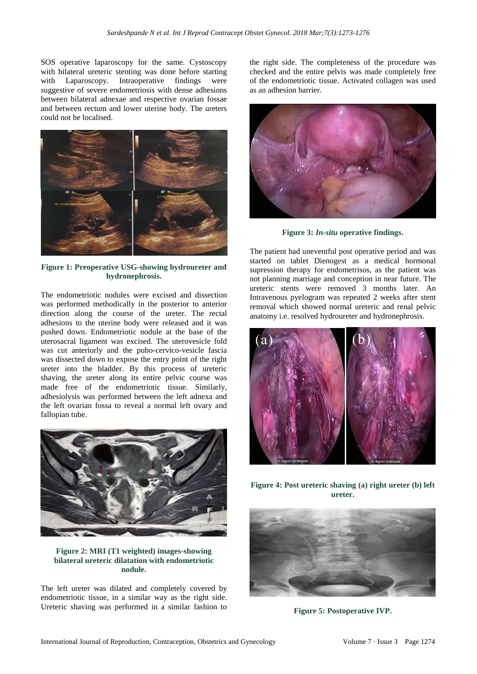SOS operative laparoscopy for the same. Cystoscopy with bilateral ureteric stenting was done before starting with Laparoscopy. Intraoperative findings were suggestive of severe endometriosis with dense adhesions between bilateral adnexae and respective ovarian fossae and between rectum and lower uterine body. The ureters could not be localised.



**Figure 1: Preoperative USG-showing hydroureter and hydronephrosis.**

The endometriotic nodules were excised and dissection was performed methodically in the posterior to anterior direction along the course of the ureter. The rectal adhesions to the uterine body were released and it was pushed down. Endometriotic nodule at the base of the uterosacral ligament was excised. The uterovesicle fold was cut anteriorly and the pubo-cervico-vesicle fascia was dissected down to expose the entry point of the right ureter into the bladder. By this process of ureteric shaving, the ureter along its entire pelvic course was made free of the endometriotic tissue. Similarly, adhesiolysis was performed between the left adnexa and the left ovarian fossa to reveal a normal left ovary and fallopian tube.



**Figure 2: MRI (T1 weighted) images-showing bilateral ureteric dilatation with endometriotic nodule.**

The left ureter was dilated and completely covered by endometriotic tissue, in a similar way as the right side. Ureteric shaving was performed in a similar fashion to

the right side. The completeness of the procedure was checked and the entire pelvis was made completely free of the endometriotic tissue. Activated collagen was used as an adhesion barrier.



**Figure 3:** *In-situ* **operative findings.**

The patient had uneventful post operative period and was started on tablet Dienogest as a medical hormonal supression therapy for endometrisos, as the patient was not planning marriage and conception in near future. The ureteric stents were removed 3 months later. An Intravenous pyelogram was repeated 2 weeks after stent removal which showed normal ureteric and renal pelvic anatomy i.e. resolved hydroureter and hydronephrosis.



**Figure 4: Post ureteric shaving (a) right ureter (b) left ureter.**



**Figure 5: Postoperative IVP.**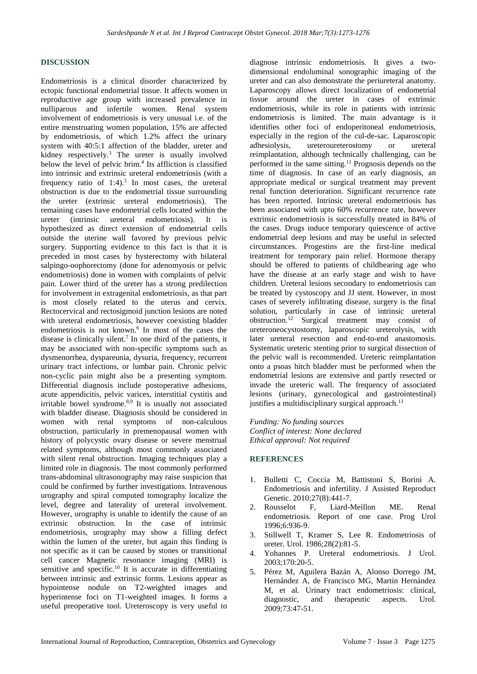#### **DISCUSSION**

Endometriosis is a clinical disorder characterized by ectopic functional endometrial tissue. It affects women in reproductive age group with increased prevalence in nulliparous and infertile women. Renal system involvement of endometriosis is very unusual i.e. of the entire menstruating women population, 15% are affected by endometriosis, of which 1.2% affect the urinary system with 40:5:1 affection of the bladder, ureter and kidney respectively.<sup>3</sup> The ureter is usually involved below the level of pelvic brim.<sup>4</sup> Its affliction is classified into intrinsic and extrinsic ureteral endometriosis (with a frequency ratio of  $1:4$ .<sup>5</sup> In most cases, the ureteral obstruction is due to the endometrial tissue surrounding the ureter (extrinsic ureteral endometriosis). The remaining cases have endometrial cells located within the ureter (intrinsic ureteral endometriosis). It is hypothesized as direct extension of endometrial cells outside the uterine wall favored by previous pelvic surgery. Supporting evidence to this fact is that it is preceded in most cases by hysterectomy with bilateral salpingo-oophorectomy (done for adenomyosis or pelvic endometriosis) done in women with complaints of pelvic pain. Lower third of the ureter has a strong predilection for involvement in extragenital endometriosis, as that part is most closely related to the uterus and cervix. Rectocervical and rectosigmoid junction lesions are noted with ureteral endometriosis, however coexisting bladder endometriosis is not known.<sup>6</sup> In most of the cases the disease is clinically silent.<sup>7</sup> In one third of the patients, it may be associated with non-specific symptoms such as dysmenorrhea, dyspareunia, dysuria, frequency, recurrent urinary tract infections, or lumbar pain. Chronic pelvic non-cyclic pain might also be a presenting symptom. Differential diagnosis include postoperative adhesions, acute appendicitis, pelvic varices, interstitial cystitis and irritable bowel syndrome. $8,9$  It is usually not associated with bladder disease. Diagnosis should be considered in women with renal symptoms of non-calculous obstruction, particularly in premenopausal women with history of polycystic ovary disease or severe menstrual related symptoms, although most commonly associated with silent renal obstruction. Imaging techniques play a limited role in diagnosis. The most commonly performed trans-abdominal ultrasonography may raise suspicion that could be confirmed by further investigations. Intravenous urography and spiral computed tomography localize the level, degree and laterality of ureteral involvement. However, urography is unable to identify the cause of an extrinsic obstruction. In the case of intrinsic endometriosis, urography may show a filling defect within the lumen of the ureter, but again this finding is not specific as it can be caused by stones or transitional cell cancer Magnetic resonance imaging (MRI) is sensitive and specific.<sup>10</sup> It is accurate in differentiating between intrinsic and extrinsic forms. Lesions appear as hypointense nodule on T2-weighted images and hyperintense foci on T1-weighted images. It forms a useful preoperative tool. Ureteroscopy is very useful to diagnose intrinsic endometriosis. It gives a twodimensional endoluminal sonographic imaging of the ureter and can also demonstrate the periureteral anatomy. Laparoscopy allows direct localization of endometrial tissue around the ureter in cases of extrinsic endometriosis, while its role in patients with intrinsic endometriosis is limited. The main advantage is it identifies other foci of endoperitoneal endometriosis, especially in the region of the cul-de-sac. Laparoscopic adhesiolysis, ureteroureterostomy or ureteral reimplantation, although technically challenging, can be performed in the same sitting.<sup>11</sup> Prognosis depends on the time of diagnosis. In case of an early diagnosis, an appropriate medical or surgical treatment may prevent renal function deterioration. Significant recurrence rate has been reported. Intrinsic ureteral endometriosis has been associated with upto 60% recurrence rate, however extrinsic endometriosis is successfully treated in 84% of the cases. Drugs induce temporary quiescence of active endometrial deep lesions and may be useful in selected circumstances. Progestins are the first-line medical treatment for temporary pain relief. Hormone therapy should be offered to patients of childbearing age who have the disease at an early stage and wish to have children. Ureteral lesions secondary to endometriosis can be treated by cystoscopy and JJ stent. However, in most cases of severely infiltrating disease, surgery is the final solution, particularly in case of intrinsic ureteral obstruction.<sup>12</sup> Surgical treatment may consist of ureteroneocystostomy, laparoscopic ureterolysis, with later ureteral resection and end-to-end anastomosis. Systematic ureteric stenting prior to surgical dissection of the pelvic wall is recommended. Ureteric reimplantation onto a psoas hitch bladder must be performed when the endometrial lesions are extensive and partly resected or invade the ureteric wall. The frequency of associated lesions (urinary, gynecological and gastrointestinal) justifies a multidisciplinary surgical approach.<sup>13</sup>

*Funding: No funding sources Conflict of interest: None declared Ethical approval: Not required*

#### **REFERENCES**

- 1. Bulletti C, Coccia M, Battistoni S, Borini A. Endometriosis and infertility. J Assisted Reproduct Genetic. 2010;27(8):441-7.
- 2. Rousselot F, Liard-Meillon ME. Renal endometriosis. Report of one case. Prog Urol 1996;6:936-9.
- 3. Stillwell T, Kramer S, Lee R. Endometriosis of ureter. Urol. 1986;28(2):81-5.
- 4. Yohannes P. Ureteral endometriosis. J Urol. 2003;170:20-5.
- 5. Pérez M, Aguilera Bazán A, Alonso Dorrego JM, Hernández A, de Francisco MG, Martín Hernández M, et al. Urinary tract endometriosis: clinical, diagnostic, and therapeutic aspects. Urol. 2009;73:47-51.